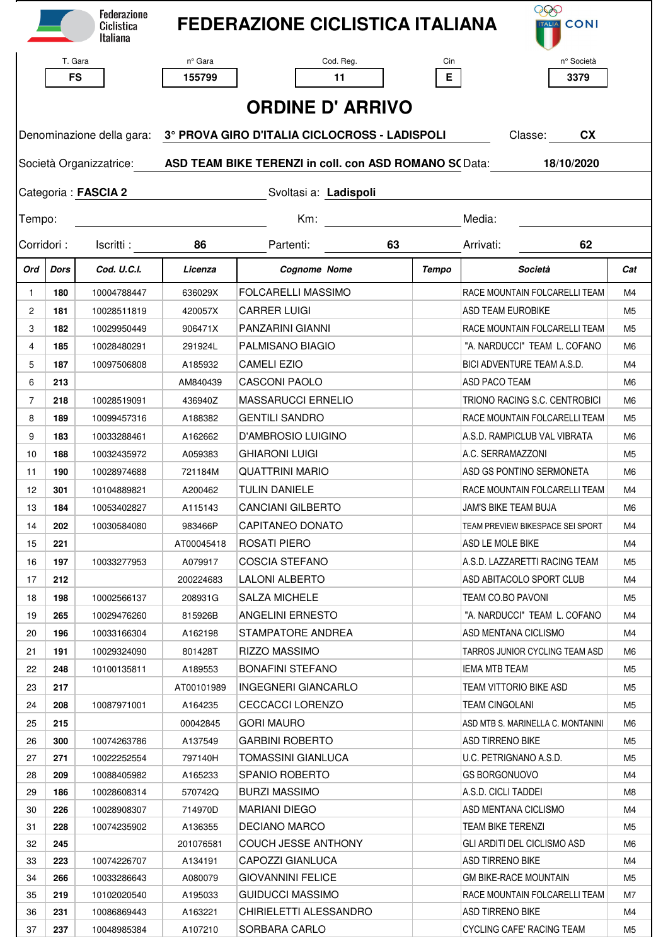|                                                                                                 |            | <b>Federazione</b><br>Ciclistica<br>Italiana |                                                                                                 | <b>FEDERAZIONE CICLISTICA ITALIANA</b>      |       | 999<br><b>TALIA</b> CONI                       |                |  |  |  |  |  |  |
|-------------------------------------------------------------------------------------------------|------------|----------------------------------------------|-------------------------------------------------------------------------------------------------|---------------------------------------------|-------|------------------------------------------------|----------------|--|--|--|--|--|--|
|                                                                                                 | T. Gara    |                                              | nº Gara                                                                                         | Cod. Reg.                                   | Cin   | n° Società                                     |                |  |  |  |  |  |  |
|                                                                                                 | <b>FS</b>  |                                              | 155799                                                                                          | 11                                          | E.    | 3379                                           |                |  |  |  |  |  |  |
|                                                                                                 |            |                                              |                                                                                                 |                                             |       |                                                |                |  |  |  |  |  |  |
| <b>ORDINE D' ARRIVO</b>                                                                         |            |                                              |                                                                                                 |                                             |       |                                                |                |  |  |  |  |  |  |
|                                                                                                 |            |                                              | Denominazione della gara: 3° PROVA GIRO D'ITALIA CICLOCROSS - LADISPOLI<br>Classe:<br><b>CX</b> |                                             |       |                                                |                |  |  |  |  |  |  |
| ASD TEAM BIKE TERENZI in coll. con ASD ROMANO SC Data:<br>Società Organizzatrice:<br>18/10/2020 |            |                                              |                                                                                                 |                                             |       |                                                |                |  |  |  |  |  |  |
|                                                                                                 |            | Categoria: FASCIA 2                          | Svoltasi a: Ladispoli                                                                           |                                             |       |                                                |                |  |  |  |  |  |  |
| Tempo:                                                                                          |            |                                              |                                                                                                 | $Km$ :                                      |       | Media:                                         |                |  |  |  |  |  |  |
| Corridori:                                                                                      |            | Iscritti:                                    | 86                                                                                              | Partenti:                                   | 63    | Arrivati:<br>62                                |                |  |  |  |  |  |  |
| Ord                                                                                             | Dors       | Cod. U.C.I.                                  | Licenza                                                                                         | <b>Cognome Nome</b>                         | Tempo | Società                                        | Cat            |  |  |  |  |  |  |
| $\mathbf{1}$                                                                                    | 180        | 10004788447                                  | 636029X                                                                                         | <b>FOLCARELLI MASSIMO</b>                   |       | RACE MOUNTAIN FOLCARELLI TEAM                  | M4             |  |  |  |  |  |  |
| $\mathbf{2}$                                                                                    | 181        | 10028511819                                  | 420057X                                                                                         | <b>CARRER LUIGI</b>                         |       | <b>ASD TEAM EUROBIKE</b>                       | M <sub>5</sub> |  |  |  |  |  |  |
| 3                                                                                               | 182        | 10029950449                                  | 906471X                                                                                         | PANZARINI GIANNI                            |       | RACE MOUNTAIN FOLCARELLI TEAM                  | M <sub>5</sub> |  |  |  |  |  |  |
| $\overline{4}$                                                                                  | 185        | 10028480291                                  | 291924L                                                                                         | PALMISANO BIAGIO                            |       | "A. NARDUCCI" TEAM L. COFANO                   | M6             |  |  |  |  |  |  |
| 5                                                                                               | 187        | 10097506808                                  | A185932                                                                                         | <b>CAMELI EZIO</b>                          |       | BICI ADVENTURE TEAM A.S.D.                     | M4             |  |  |  |  |  |  |
| 6                                                                                               | 213        |                                              | AM840439                                                                                        | <b>CASCONI PAOLO</b>                        |       | ASD PACO TEAM                                  | M6             |  |  |  |  |  |  |
| $\overline{7}$                                                                                  | 218        | 10028519091                                  | 436940Z                                                                                         | <b>MASSARUCCI ERNELIO</b>                   |       | TRIONO RACING S.C. CENTROBICI                  | M6             |  |  |  |  |  |  |
| 8                                                                                               | 189        | 10099457316                                  | A188382                                                                                         | <b>GENTILI SANDRO</b>                       |       | RACE MOUNTAIN FOLCARELLI TEAM                  | M <sub>5</sub> |  |  |  |  |  |  |
| 9                                                                                               | 183        | 10033288461                                  | A162662                                                                                         | D'AMBROSIO LUIGINO                          |       | A.S.D. RAMPICLUB VAL VIBRATA                   | M6             |  |  |  |  |  |  |
| 10                                                                                              | 188        | 10032435972                                  | A059383                                                                                         | <b>GHIARONI LUIGI</b>                       |       | A.C. SERRAMAZZONI                              | M <sub>5</sub> |  |  |  |  |  |  |
| 11                                                                                              | 190        | 10028974688                                  | 721184M                                                                                         | <b>QUATTRINI MARIO</b>                      |       | ASD GS PONTINO SERMONETA                       | M6             |  |  |  |  |  |  |
| 12                                                                                              | 301        | 10104889821                                  | A200462                                                                                         | <b>TULIN DANIELE</b>                        |       | RACE MOUNTAIN FOLCARELLI TEAM                  | M4             |  |  |  |  |  |  |
| 13                                                                                              | 184        | 10053402827                                  | A115143                                                                                         | CANCIANI GILBERTO                           |       | JAM'S BIKE TEAM BUJA                           | M6.            |  |  |  |  |  |  |
| 14                                                                                              | 202        | 10030584080                                  | 983466P                                                                                         | CAPITANEO DONATO                            |       | TEAM PREVIEW BIKESPACE SEI SPORT               | M4             |  |  |  |  |  |  |
| 15                                                                                              | 221        |                                              | AT00045418                                                                                      | ROSATI PIERO                                |       | ASD LE MOLE BIKE                               | M4             |  |  |  |  |  |  |
| 16                                                                                              | 197        | 10033277953                                  | A079917                                                                                         | <b>COSCIA STEFANO</b>                       |       | A.S.D. LAZZARETTI RACING TEAM                  | M5             |  |  |  |  |  |  |
| 17                                                                                              | 212        |                                              | 200224683                                                                                       | LALONI ALBERTO                              |       | ASD ABITACOLO SPORT CLUB                       | M4             |  |  |  |  |  |  |
| 18                                                                                              | 198        | 10002566137                                  | 208931G                                                                                         | <b>SALZA MICHELE</b>                        |       | TEAM CO.BO PAVONI                              | M5             |  |  |  |  |  |  |
| 19                                                                                              | 265        | 10029476260                                  | 815926B                                                                                         | ANGELINI ERNESTO                            |       | "A. NARDUCCI" TEAM L. COFANO                   | M4             |  |  |  |  |  |  |
| 20                                                                                              | 196        | 10033166304                                  | A162198                                                                                         | STAMPATORE ANDREA                           |       | ASD MENTANA CICLISMO                           | M4             |  |  |  |  |  |  |
|                                                                                                 |            |                                              |                                                                                                 | <b>RIZZO MASSIMO</b>                        |       | TARROS JUNIOR CYCLING TEAM ASD                 |                |  |  |  |  |  |  |
| 21<br>22                                                                                        | 191<br>248 | 10029324090<br>10100135811                   | 801428T<br>A189553                                                                              | BONAFINI STEFANO                            |       | IEMA MTB TEAM                                  | M6<br>M5       |  |  |  |  |  |  |
|                                                                                                 |            |                                              |                                                                                                 | INGEGNERI GIANCARLO                         |       | TEAM VITTORIO BIKE ASD                         |                |  |  |  |  |  |  |
| 23                                                                                              | 217<br>208 | 10087971001                                  | AT00101989                                                                                      | CECCACCI LORENZO                            |       | TEAM CINGOLANI                                 | M5<br>M5       |  |  |  |  |  |  |
| 24                                                                                              |            |                                              | A164235                                                                                         |                                             |       |                                                |                |  |  |  |  |  |  |
| 25                                                                                              | 215        |                                              | 00042845                                                                                        | <b>GORI MAURO</b>                           |       | ASD MTB S. MARINELLA C. MONTANINI              | M6             |  |  |  |  |  |  |
| 26                                                                                              | 300        | 10074263786                                  | A137549                                                                                         | <b>GARBINI ROBERTO</b>                      |       | ASD TIRRENO BIKE                               | M5             |  |  |  |  |  |  |
| 27<br>28                                                                                        | 271<br>209 | 10022252554                                  | 797140H<br>A165233                                                                              | <b>TOMASSINI GIANLUCA</b><br>SPANIO ROBERTO |       | U.C. PETRIGNANO A.S.D.<br><b>GS BORGONUOVO</b> | M5<br>M4       |  |  |  |  |  |  |
|                                                                                                 |            | 10088405982                                  |                                                                                                 |                                             |       | A.S.D. CICLI TADDEI                            |                |  |  |  |  |  |  |
| 29<br>30                                                                                        | 186<br>226 | 10028608314<br>10028908307                   | 570742Q<br>714970D                                                                              | <b>BURZI MASSIMO</b><br>MARIANI DIEGO       |       | ASD MENTANA CICLISMO                           | M8<br>M4       |  |  |  |  |  |  |
| 31                                                                                              | 228        | 10074235902                                  | A136355                                                                                         | DECIANO MARCO                               |       | TEAM BIKE TERENZI                              | M5             |  |  |  |  |  |  |
| 32                                                                                              | 245        |                                              | 201076581                                                                                       | <b>COUCH JESSE ANTHONY</b>                  |       | GLI ARDITI DEL CICLISMO ASD                    | M6             |  |  |  |  |  |  |
| 33                                                                                              | 223        | 10074226707                                  | A134191                                                                                         | CAPOZZI GIANLUCA                            |       | <b>ASD TIRRENO BIKE</b>                        | M4             |  |  |  |  |  |  |
| 34                                                                                              | 266        | 10033286643                                  | A080079                                                                                         | <b>GIOVANNINI FELICE</b>                    |       | <b>GM BIKE-RACE MOUNTAIN</b>                   | M5             |  |  |  |  |  |  |
| 35                                                                                              | 219        | 10102020540                                  | A195033                                                                                         | GUIDUCCI MASSIMO                            |       | RACE MOUNTAIN FOLCARELLI TEAM                  | M7             |  |  |  |  |  |  |
| 36                                                                                              | 231        | 10086869443                                  | A163221                                                                                         | CHIRIELETTI ALESSANDRO                      |       | ASD TIRRENO BIKE                               | M4             |  |  |  |  |  |  |
| 37                                                                                              | 237        | 10048985384                                  | A107210                                                                                         | SORBARA CARLO                               |       | CYCLING CAFE' RACING TEAM                      | M5             |  |  |  |  |  |  |